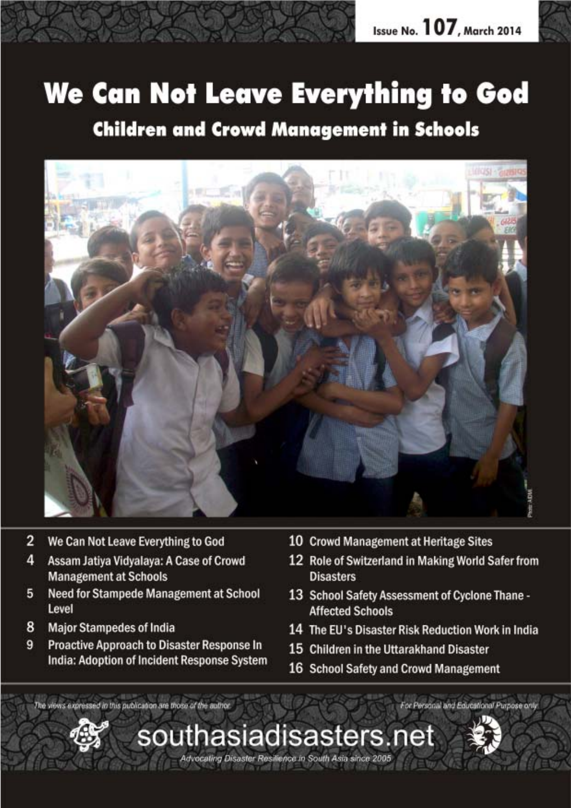

# We Can Not Leave Everything to God **Children and Crowd Management in Schools**



southasiadisasters.net

Advocating Disaster Resilience in South Asia since 2005

- $\overline{2}$ We Can Not Leave Everything to God
- 4 Assam Jatiya Vidyalaya: A Case of Crowd **Management at Schools**
- 5 Need for Stampede Management at School Level
- 8 **Major Stampedes of India**
- 9 **Proactive Approach to Disaster Response In India: Adoption of Incident Response System**
- 10 Crowd Management at Heritage Sites
- 12 Role of Switzerland in Making World Safer from **Disasters**
- 13 School Safety Assessment of Cyclone Thane -**Affected Schools**
- 14 The EU's Disaster Risk Reduction Work in India
- 15 Children in the Uttarakhand Disaster
- 16 School Safety and Crowd Management

The wews expressed in this publication are those of the author.

For Personal and Educational Purpose only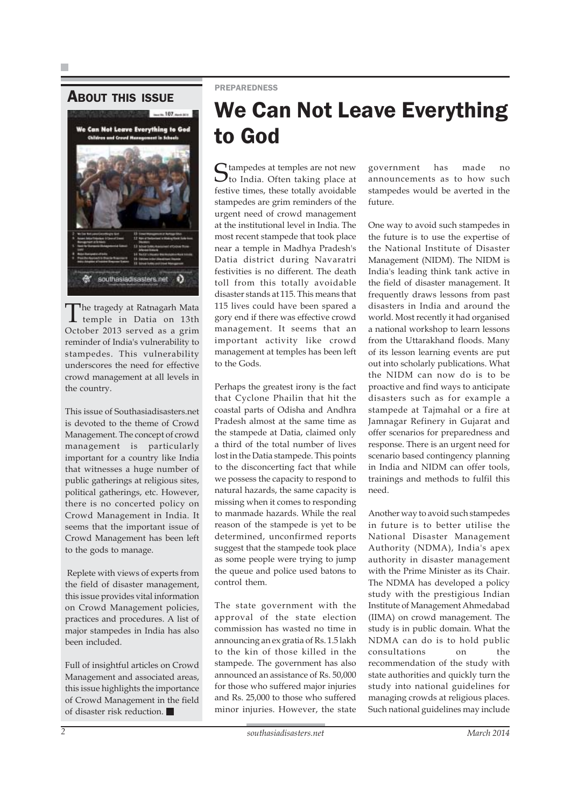#### ABOUT THIS ISSUE

![](_page_1_Picture_2.jpeg)

The tragedy at Ratnagarh Mata temple in Datia on 13th October 2013 served as a grim reminder of India's vulnerability to stampedes. This vulnerability underscores the need for effective crowd management at all levels in the country.

This issue of Southasiadisasters.net is devoted to the theme of Crowd Management. The concept of crowd management is particularly important for a country like India that witnesses a huge number of public gatherings at religious sites, political gatherings, etc. However, there is no concerted policy on Crowd Management in India. It seems that the important issue of Crowd Management has been left to the gods to manage.

 Replete with views of experts from the field of disaster management, this issue provides vital information on Crowd Management policies, practices and procedures. A list of major stampedes in India has also been included.

Full of insightful articles on Crowd Management and associated areas, this issue highlights the importance of Crowd Management in the field of disaster risk reduction.

#### **PREPAREDNESS**

### We Can Not Leave Everything to God

Stampedes at temples are not new  $\mathcal{I}_{\text{to}}$  India. Often taking place at festive times, these totally avoidable stampedes are grim reminders of the urgent need of crowd management at the institutional level in India. The most recent stampede that took place near a temple in Madhya Pradesh's Datia district during Navaratri festivities is no different. The death toll from this totally avoidable disaster stands at 115. This means that 115 lives could have been spared a gory end if there was effective crowd management. It seems that an important activity like crowd management at temples has been left to the Gods.

Perhaps the greatest irony is the fact that Cyclone Phailin that hit the coastal parts of Odisha and Andhra Pradesh almost at the same time as the stampede at Datia, claimed only a third of the total number of lives lost in the Datia stampede. This points to the disconcerting fact that while we possess the capacity to respond to natural hazards, the same capacity is missing when it comes to responding to manmade hazards. While the real reason of the stampede is yet to be determined, unconfirmed reports suggest that the stampede took place as some people were trying to jump the queue and police used batons to control them.

The state government with the approval of the state election commission has wasted no time in announcing an ex gratia of Rs. 1.5 lakh to the kin of those killed in the stampede. The government has also announced an assistance of Rs. 50,000 for those who suffered major injuries and Rs. 25,000 to those who suffered minor injuries. However, the state

government has made no announcements as to how such stampedes would be averted in the future.

One way to avoid such stampedes in the future is to use the expertise of the National Institute of Disaster Management (NIDM). The NIDM is India's leading think tank active in the field of disaster management. It frequently draws lessons from past disasters in India and around the world. Most recently it had organised a national workshop to learn lessons from the Uttarakhand floods. Many of its lesson learning events are put out into scholarly publications. What the NIDM can now do is to be proactive and find ways to anticipate disasters such as for example a stampede at Tajmahal or a fire at Jamnagar Refinery in Gujarat and offer scenarios for preparedness and response. There is an urgent need for scenario based contingency planning in India and NIDM can offer tools, trainings and methods to fulfil this need.

Another way to avoid such stampedes in future is to better utilise the National Disaster Management Authority (NDMA), India's apex authority in disaster management with the Prime Minister as its Chair. The NDMA has developed a policy study with the prestigious Indian Institute of Management Ahmedabad (IIMA) on crowd management. The study is in public domain. What the NDMA can do is to hold public consultations on the recommendation of the study with state authorities and quickly turn the study into national guidelines for managing crowds at religious places. Such national guidelines may include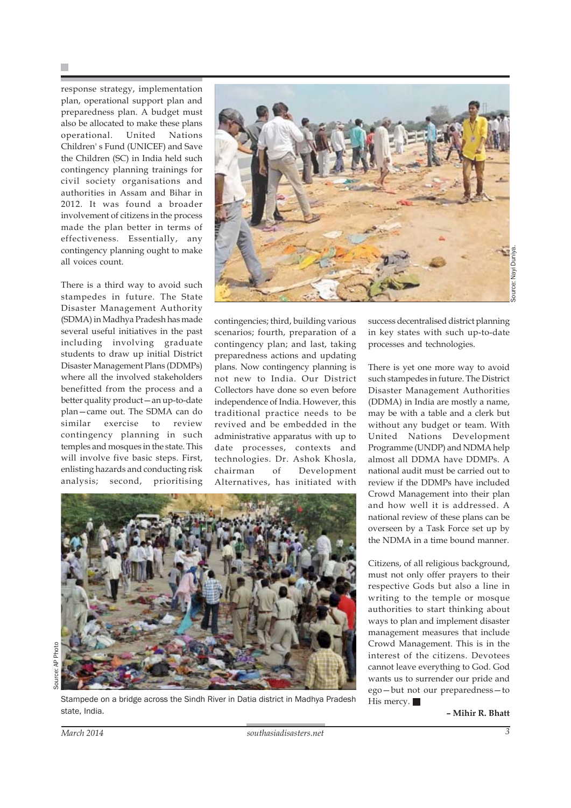response strategy, implementation plan, operational support plan and preparedness plan. A budget must also be allocated to make these plans operational. United Nations Children' s Fund (UNICEF) and Save the Children (SC) in India held such contingency planning trainings for civil society organisations and authorities in Assam and Bihar in 2012. It was found a broader involvement of citizens in the process made the plan better in terms of effectiveness. Essentially, any contingency planning ought to make all voices count.

There is a third way to avoid such stampedes in future. The State Disaster Management Authority (SDMA) in Madhya Pradesh has made several useful initiatives in the past including involving graduate students to draw up initial District Disaster Management Plans (DDMPs) where all the involved stakeholders benefitted from the process and a better quality product—an up-to-date plan—came out. The SDMA can do similar exercise to review contingency planning in such temples and mosques in the state. This will involve five basic steps. First, enlisting hazards and conducting risk analysis; second, prioritising

![](_page_2_Picture_3.jpeg)

contingencies; third, building various scenarios; fourth, preparation of a contingency plan; and last, taking preparedness actions and updating plans. Now contingency planning is not new to India. Our District Collectors have done so even before independence of India. However, this traditional practice needs to be revived and be embedded in the administrative apparatus with up to date processes, contexts and technologies. Dr. Ashok Khosla, chairman of Development Alternatives, has initiated with

success decentralised district planning in key states with such up-to-date processes and technologies.

There is yet one more way to avoid such stampedes in future. The District Disaster Management Authorities (DDMA) in India are mostly a name, may be with a table and a clerk but without any budget or team. With United Nations Development Programme (UNDP) and NDMA help almost all DDMA have DDMPs. A national audit must be carried out to review if the DDMPs have included Crowd Management into their plan and how well it is addressed. A national review of these plans can be overseen by a Task Force set up by the NDMA in a time bound manner.

Citizens, of all religious background, must not only offer prayers to their respective Gods but also a line in writing to the temple or mosque authorities to start thinking about ways to plan and implement disaster management measures that include Crowd Management. This is in the interest of the citizens. Devotees cannot leave everything to God. God wants us to surrender our pride and ego—but not our preparedness—to His mercy.

Stampede on a bridge across the Sindh River in Datia district in Madhya Pradesh state, India.

**– Mihir R. Bhatt**

Source: AP Photo

AP Photo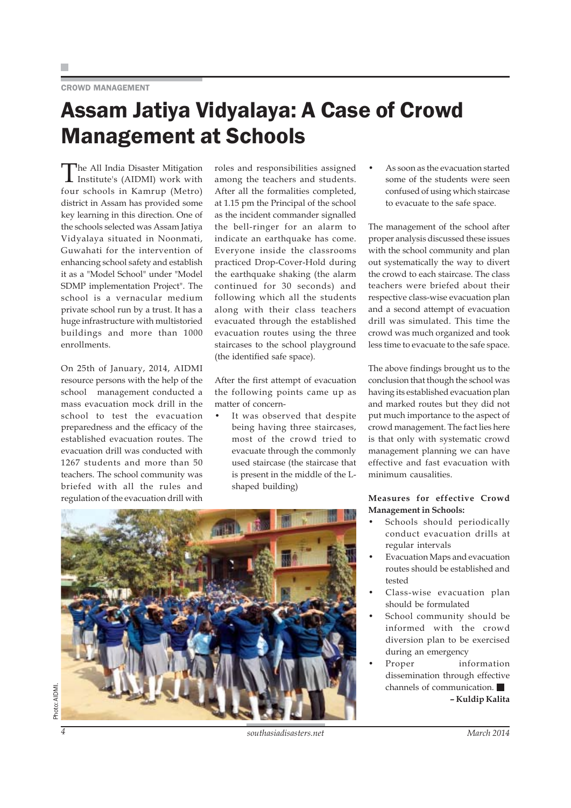#### CROWD MANAGEMENT

### Assam Jatiya Vidyalaya: A Case of Crowd Management at Schools

The All India Disaster Mitigation Institute's (AIDMI) work with four schools in Kamrup (Metro) district in Assam has provided some key learning in this direction. One of the schools selected was Assam Jatiya Vidyalaya situated in Noonmati, Guwahati for the intervention of enhancing school safety and establish it as a "Model School" under "Model SDMP implementation Project". The school is a vernacular medium private school run by a trust. It has a huge infrastructure with multistoried buildings and more than 1000 enrollments.

On 25th of January, 2014, AIDMI resource persons with the help of the school management conducted a mass evacuation mock drill in the school to test the evacuation preparedness and the efficacy of the established evacuation routes. The evacuation drill was conducted with 1267 students and more than 50 teachers. The school community was briefed with all the rules and regulation of the evacuation drill with

roles and responsibilities assigned among the teachers and students. After all the formalities completed, at 1.15 pm the Principal of the school as the incident commander signalled the bell-ringer for an alarm to indicate an earthquake has come. Everyone inside the classrooms practiced Drop-Cover-Hold during the earthquake shaking (the alarm continued for 30 seconds) and following which all the students along with their class teachers evacuated through the established evacuation routes using the three staircases to the school playground (the identified safe space).

After the first attempt of evacuation the following points came up as matter of concern-

• It was observed that despite being having three staircases, most of the crowd tried to evacuate through the commonly used staircase (the staircase that is present in the middle of the Lshaped building)

• As soon as the evacuation started some of the students were seen confused of using which staircase to evacuate to the safe space.

The management of the school after proper analysis discussed these issues with the school community and plan out systematically the way to divert the crowd to each staircase. The class teachers were briefed about their respective class-wise evacuation plan and a second attempt of evacuation drill was simulated. This time the crowd was much organized and took less time to evacuate to the safe space.

The above findings brought us to the conclusion that though the school was having its established evacuation plan and marked routes but they did not put much importance to the aspect of crowd management. The fact lies here is that only with systematic crowd management planning we can have effective and fast evacuation with minimum causalities.

#### **Measures for effective Crowd Management in Schools:**

- Schools should periodically conduct evacuation drills at regular intervals
- Evacuation Maps and evacuation routes should be established and tested
- Class-wise evacuation plan should be formulated
- School community should be informed with the crowd diversion plan to be exercised during an emergency
- Proper information dissemination through effective channels of communication.

**– Kuldip Kalita**

![](_page_3_Picture_18.jpeg)

*4 southasiadisasters.net March 2014*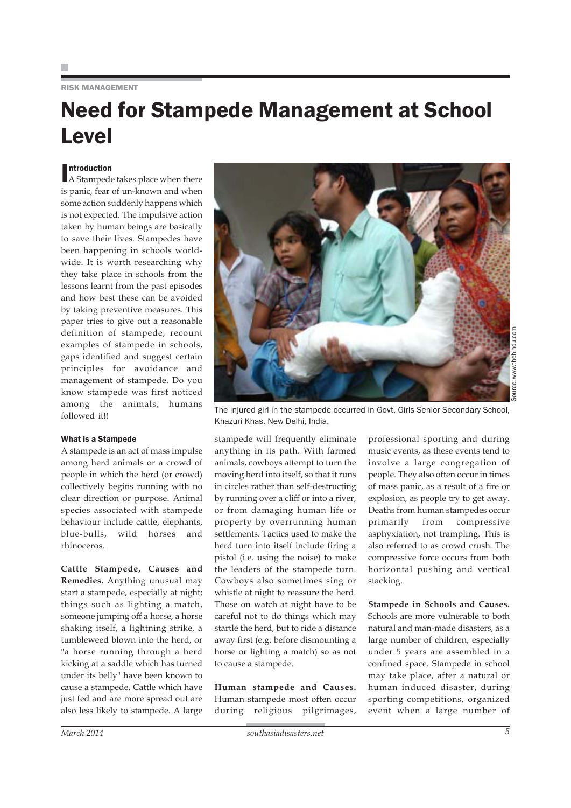#### RISK MANAGEMENT

## Need for Stampede Management at School Level

#### ntroduction

ntroduction<br>A Stampede takes place when there is panic, fear of un-known and when some action suddenly happens which is not expected. The impulsive action taken by human beings are basically to save their lives. Stampedes have been happening in schools worldwide. It is worth researching why they take place in schools from the lessons learnt from the past episodes and how best these can be avoided by taking preventive measures. This paper tries to give out a reasonable definition of stampede, recount examples of stampede in schools, gaps identified and suggest certain principles for avoidance and management of stampede. Do you know stampede was first noticed among the animals, humans followed it!!

#### What is a Stampede

A stampede is an act of mass impulse among herd animals or a crowd of people in which the herd (or crowd) collectively begins running with no clear direction or purpose. Animal species associated with stampede behaviour include cattle, elephants, blue-bulls, wild horses and rhinoceros.

**Cattle Stampede, Causes and Remedies.** Anything unusual may start a stampede, especially at night; things such as lighting a match, someone jumping off a horse, a horse shaking itself, a lightning strike, a tumbleweed blown into the herd, or "a horse running through a herd kicking at a saddle which has turned under its belly" have been known to cause a stampede. Cattle which have just fed and are more spread out are also less likely to stampede. A large

![](_page_4_Picture_8.jpeg)

The injured girl in the stampede occurred in Govt. Girls Senior Secondary School, Khazuri Khas, New Delhi, India.

stampede will frequently eliminate anything in its path. With farmed animals, cowboys attempt to turn the moving herd into itself, so that it runs in circles rather than self-destructing by running over a cliff or into a river, or from damaging human life or property by overrunning human settlements. Tactics used to make the herd turn into itself include firing a pistol (i.e. using the noise) to make the leaders of the stampede turn. Cowboys also sometimes sing or whistle at night to reassure the herd. Those on watch at night have to be careful not to do things which may startle the herd, but to ride a distance away first (e.g. before dismounting a horse or lighting a match) so as not to cause a stampede.

**Human stampede and Causes.** Human stampede most often occur during religious pilgrimages,

professional sporting and during music events, as these events tend to involve a large congregation of people. They also often occur in times of mass panic, as a result of a fire or explosion, as people try to get away. Deaths from human stampedes occur primarily from compressive asphyxiation, not trampling. This is also referred to as crowd crush. The compressive force occurs from both horizontal pushing and vertical stacking.

**Stampede in Schools and Causes.** Schools are more vulnerable to both natural and man-made disasters, as a large number of children, especially under 5 years are assembled in a confined space. Stampede in school may take place, after a natural or human induced disaster, during sporting competitions, organized event when a large number of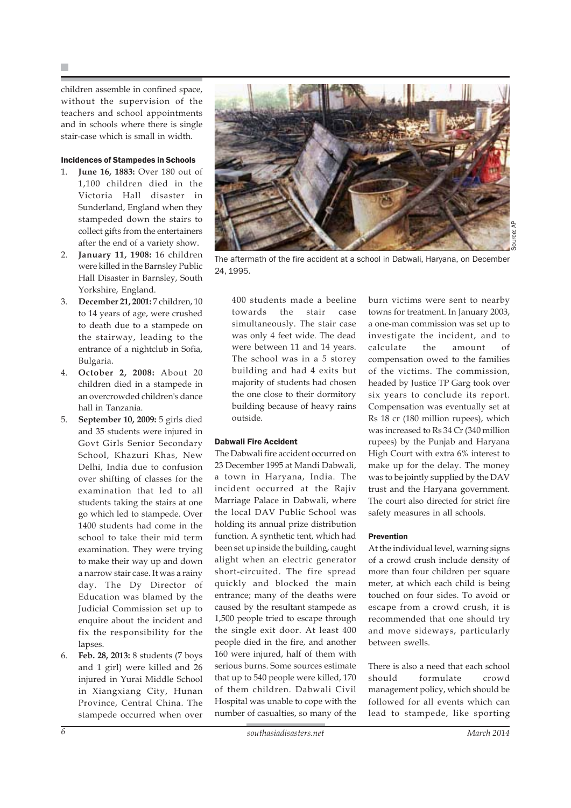children assemble in confined space, without the supervision of the teachers and school appointments and in schools where there is single stair-case which is small in width.

#### Incidences of Stampedes in Schools

- 1. **June 16, 1883:** Over 180 out of 1,100 children died in the Victoria Hall disaster in Sunderland, England when they stampeded down the stairs to collect gifts from the entertainers after the end of a variety show.
- 2. **January 11, 1908:** 16 children were killed in the Barnsley Public Hall Disaster in Barnsley, South Yorkshire, England.
- 3. **December 21, 2001:** 7 children, 10 to 14 years of age, were crushed to death due to a stampede on the stairway, leading to the entrance of a nightclub in Sofia, Bulgaria.
- 4. **October 2, 2008:** About 20 children died in a stampede in an overcrowded children's dance hall in Tanzania.
- 5. **September 10, 2009:** 5 girls died and 35 students were injured in Govt Girls Senior Secondary School, Khazuri Khas, New Delhi, India due to confusion over shifting of classes for the examination that led to all students taking the stairs at one go which led to stampede. Over 1400 students had come in the school to take their mid term examination. They were trying to make their way up and down a narrow stair case. It was a rainy day. The Dy Director of Education was blamed by the Judicial Commission set up to enquire about the incident and fix the responsibility for the lapses.
- 6. **Feb. 28, 2013:** 8 students (7 boys and 1 girl) were killed and 26 injured in Yurai Middle School in Xiangxiang City, Hunan Province, Central China. The stampede occurred when over

![](_page_5_Picture_9.jpeg)

The aftermath of the fire accident at a school in Dabwali, Haryana, on December 24, 1995.

400 students made a beeline towards the stair case simultaneously. The stair case was only 4 feet wide. The dead were between 11 and 14 years. The school was in a 5 storey building and had 4 exits but majority of students had chosen the one close to their dormitory building because of heavy rains outside.

#### Dabwali Fire Accident

The Dabwali fire accident occurred on 23 December 1995 at Mandi Dabwali, a town in Haryana, India. The incident occurred at the Rajiv Marriage Palace in Dabwali, where the local DAV Public School was holding its annual prize distribution function. A synthetic tent, which had been set up inside the building, caught alight when an electric generator short-circuited. The fire spread quickly and blocked the main entrance; many of the deaths were caused by the resultant stampede as 1,500 people tried to escape through the single exit door. At least 400 people died in the fire, and another 160 were injured, half of them with serious burns. Some sources estimate that up to 540 people were killed, 170 of them children. Dabwali Civil Hospital was unable to cope with the number of casualties, so many of the

burn victims were sent to nearby towns for treatment. In January 2003, a one-man commission was set up to investigate the incident, and to calculate the amount of compensation owed to the families of the victims. The commission, headed by Justice TP Garg took over six years to conclude its report. Compensation was eventually set at Rs 18 cr (180 million rupees), which was increased to Rs 34 Cr (340 million rupees) by the Punjab and Haryana High Court with extra 6% interest to make up for the delay. The money was to be jointly supplied by the DAV trust and the Haryana government. The court also directed for strict fire safety measures in all schools.

#### Prevention

At the individual level, warning signs of a crowd crush include density of more than four children per square meter, at which each child is being touched on four sides. To avoid or escape from a crowd crush, it is recommended that one should try and move sideways, particularly between swells.

There is also a need that each school should formulate crowd management policy, which should be followed for all events which can lead to stampede, like sporting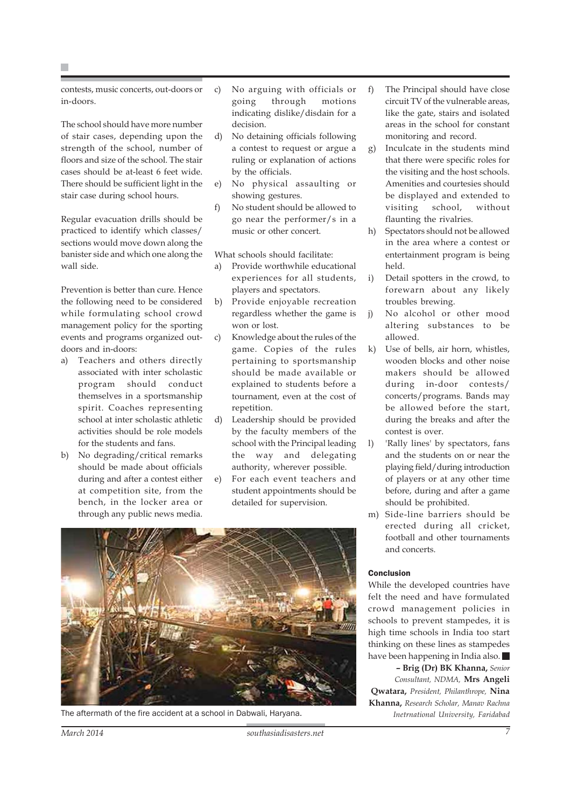contests, music concerts, out-doors or in-doors.

The school should have more number of stair cases, depending upon the strength of the school, number of floors and size of the school. The stair cases should be at-least 6 feet wide. There should be sufficient light in the stair case during school hours.

Regular evacuation drills should be practiced to identify which classes/ sections would move down along the banister side and which one along the wall side.

Prevention is better than cure. Hence the following need to be considered while formulating school crowd management policy for the sporting events and programs organized outdoors and in-doors:

- a) Teachers and others directly associated with inter scholastic program should conduct themselves in a sportsmanship spirit. Coaches representing school at inter scholastic athletic activities should be role models for the students and fans.
- b) No degrading/critical remarks should be made about officials during and after a contest either at competition site, from the bench, in the locker area or through any public news media.
- c) No arguing with officials or going through motions indicating dislike/disdain for a decision.
- d) No detaining officials following a contest to request or argue a ruling or explanation of actions by the officials.
- e) No physical assaulting or showing gestures.
- f) No student should be allowed to go near the performer/s in a music or other concert.

What schools should facilitate:

- a) Provide worthwhile educational experiences for all students, players and spectators.
- b) Provide enjoyable recreation regardless whether the game is won or lost.
- c) Knowledge about the rules of the game. Copies of the rules pertaining to sportsmanship should be made available or explained to students before a tournament, even at the cost of repetition.
- d) Leadership should be provided by the faculty members of the school with the Principal leading the way and delegating authority, wherever possible.
- e) For each event teachers and student appointments should be detailed for supervision.

![](_page_6_Picture_17.jpeg)

The aftermath of the fire accident at a school in Dabwali, Haryana. *Inetrnational University, Faridabad*

- f) The Principal should have close circuit TV of the vulnerable areas, like the gate, stairs and isolated areas in the school for constant monitoring and record.
- g) Inculcate in the students mind that there were specific roles for the visiting and the host schools. Amenities and courtesies should be displayed and extended to visiting school, without flaunting the rivalries.
- h) Spectators should not be allowed in the area where a contest or entertainment program is being held.
- i) Detail spotters in the crowd, to forewarn about any likely troubles brewing.
- j) No alcohol or other mood altering substances to be allowed.
- k) Use of bells, air horn, whistles, wooden blocks and other noise makers should be allowed during in-door contests/ concerts/programs. Bands may be allowed before the start, during the breaks and after the contest is over.
- l) 'Rally lines' by spectators, fans and the students on or near the playing field/during introduction of players or at any other time before, during and after a game should be prohibited.
- m) Side-line barriers should be erected during all cricket, football and other tournaments and concerts.

#### Conclusion

While the developed countries have felt the need and have formulated crowd management policies in schools to prevent stampedes, it is high time schools in India too start thinking on these lines as stampedes have been happening in India also.

**– Brig (Dr) BK Khanna,** *Senior Consultant, NDMA,* **Mrs Angeli Qwatara,** *President, Philanthrope,* **Nina Khanna,** *Research Scholar, Manav Rachna*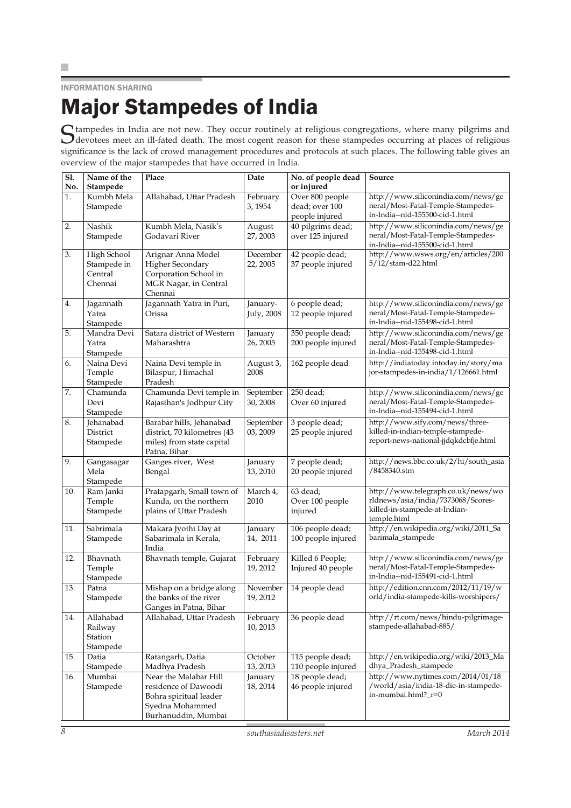n.

INFORMATION SHARING

Major Stampedes of India

Stampedes in India are not new. They occur routinely at religious congregations, where many pilgrims and devotees meet an ill-fated death. The most cogent reason for these stampedes occurring at places of religious significance is the lack of crowd management procedures and protocols at such places. The following table gives an overview of the major stampedes that have occurred in India.

| $\overline{\text{SL}}$<br>No. | Name of the<br>Stampede                          | Place                                                                                                             | Date                   | No. of people dead<br>or injured                    | Source                                                                                                                   |
|-------------------------------|--------------------------------------------------|-------------------------------------------------------------------------------------------------------------------|------------------------|-----------------------------------------------------|--------------------------------------------------------------------------------------------------------------------------|
| 1.                            | Kumbh Mela<br>Stampede                           | Allahabad, Uttar Pradesh                                                                                          | February<br>3, 1954    | Over 800 people<br>dead; over 100<br>people injured | http://www.siliconindia.com/news/ge<br>neral/Most-Fatal-Temple-Stampedes-<br>in-India--nid-155500-cid-1.html             |
| 2.                            | Nashik<br>Stampede                               | Kumbh Mela, Nasik's<br>Godavari River                                                                             | August<br>27, 2003     | 40 pilgrims dead;<br>over 125 injured               | http://www.siliconindia.com/news/ge<br>neral/Most-Fatal-Temple-Stampedes-<br>in-India--nid-155500-cid-1.html             |
| 3.                            | High School<br>Stampede in<br>Central<br>Chennai | Arignar Anna Model<br><b>Higher Secondary</b><br>Corporation School in<br>MGR Nagar, in Central<br>Chennai        | December<br>22, 2005   | 42 people dead;<br>37 people injured                | http://www.wsws.org/en/articles/200<br>5/12/stam-d22.html                                                                |
| 4.                            | Jagannath<br>Yatra<br>Stampede                   | Jagannath Yatra in Puri,<br>Orissa                                                                                | January-<br>July, 2008 | 6 people dead;<br>12 people injured                 | http://www.siliconindia.com/news/ge<br>neral/Most-Fatal-Temple-Stampedes-<br>in-India--nid-155498-cid-1.html             |
| 5.                            | Mandra Devi<br>Yatra<br>Stampede                 | Satara district of Western<br>Maharashtra                                                                         | January<br>26, 2005    | 350 people dead;<br>200 people injured              | http://www.siliconindia.com/news/ge<br>neral/Most-Fatal-Temple-Stampedes-<br>in-India--nid-155498-cid-1.html             |
| 6.                            | Naina Devi<br>Temple<br>Stampede                 | Naina Devi temple in<br>Bilaspur, Himachal<br>Pradesh                                                             | August 3,<br>2008      | 162 people dead                                     | http://indiatoday.intoday.in/story/ma<br>jor-stampedes-in-india/1/126661.html                                            |
| 7.                            | Chamunda<br>Devi<br>Stampede                     | Chamunda Devi temple in<br>Rajasthan's Jodhpur City                                                               | September<br>30, 2008  | 250 dead;<br>Over 60 injured                        | http://www.siliconindia.com/news/ge<br>neral/Most-Fatal-Temple-Stampedes-<br>in-India--nid-155494-cid-1.html             |
| 8.                            | Jehanabad<br>District<br>Stampede                | Barabar hills, Jehanabad<br>district, 70 kilometres (43<br>miles) from state capital<br>Patna, Bihar              | September<br>03, 2009  | 3 people dead;<br>25 people injured                 | http://www.sify.com/news/three-<br>killed-in-indian-temple-stampede-<br>report-news-national-jjdqkdcbfje.html            |
| 9.                            | Gangasagar<br>Mela<br>Stampede                   | Ganges river, West<br>Bengal                                                                                      | January<br>13, 2010    | 7 people dead;<br>20 people injured                 | http://news.bbc.co.uk/2/hi/south_asia<br>/8458340.stm                                                                    |
| 10.                           | Ram Janki<br>Temple<br>Stampede                  | Pratapgarh, Small town of<br>Kunda, on the northern<br>plains of Uttar Pradesh                                    | March 4,<br>2010       | 63 dead;<br>Over 100 people<br>injured              | http://www.telegraph.co.uk/news/wo<br>rldnews/asia/india/7373068/Scores-<br>killed-in-stampede-at-Indian-<br>temple.html |
| 11.                           | Sabrimala<br>Stampede                            | Makara Jyothi Day at<br>Sabarimala in Kerala,<br>India                                                            | January<br>14, 2011    | 106 people dead;<br>100 people injured              | http://en.wikipedia.org/wiki/2011_Sa<br>barimala_stampede                                                                |
| 12.                           | Bhavnath<br>Temple<br>Stampede                   | Bhavnath temple, Gujarat                                                                                          | February<br>19, 2012   | Killed 6 People;<br>Injured 40 people               | http://www.siliconindia.com/news/ge<br>neral/Most-Fatal-Temple-Stampedes-<br>in-India--nid-155491-cid-1.html             |
| 13.                           | Patna<br>Stampede                                | Mishap on a bridge along<br>the banks of the river<br>Ganges in Patna, Bihar                                      | November<br>19, 2012   | 14 people dead                                      | http://edition.cnn.com/2012/11/19/w<br>orld/india-stampede-kills-worshipers/                                             |
| 14.                           | Allahabad<br>Railway<br>Station<br>Stampede      | Allahabad, Uttar Pradesh                                                                                          | February<br>10, 2013   | 36 people dead                                      | http://rt.com/news/hindu-pilgrimage-<br>stampede-allahabad-885/                                                          |
| 15.                           | Datia<br>Stampede                                | Ratangarh, Datia<br>Madhya Pradesh                                                                                | October<br>13, 2013    | 115 people dead;<br>110 people injured              | http://en.wikipedia.org/wiki/2013_Ma<br>dhya_Pradesh_stampede                                                            |
| 16.                           | Mumbai<br>Stampede                               | Near the Malabar Hill<br>residence of Dawoodi<br>Bohra spiritual leader<br>Syedna Mohammed<br>Burhanuddin, Mumbai | January<br>18, 2014    | 18 people dead;<br>46 people injured                | http://www.nytimes.com/2014/01/18<br>/world/asia/india-18-die-in-stampede-<br>in-mumbai.html?_r=0                        |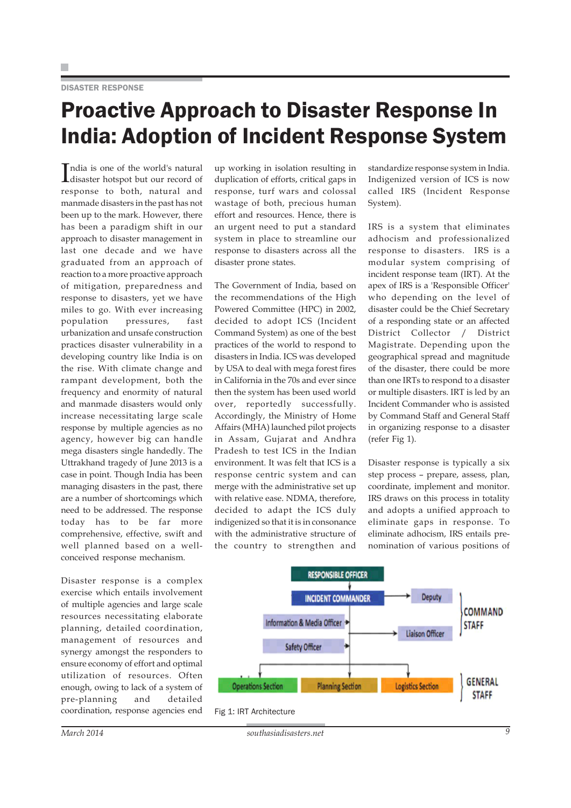#### DISASTER RESPONSE

## Proactive Approach to Disaster Response In India: Adoption of Incident Response System

India is one of the world's natural<br>disaster hotspot but our record of disaster hotspot but our record of response to both, natural and manmade disasters in the past has not been up to the mark. However, there has been a paradigm shift in our approach to disaster management in last one decade and we have graduated from an approach of reaction to a more proactive approach of mitigation, preparedness and response to disasters, yet we have miles to go. With ever increasing population pressures, fast urbanization and unsafe construction practices disaster vulnerability in a developing country like India is on the rise. With climate change and rampant development, both the frequency and enormity of natural and manmade disasters would only increase necessitating large scale response by multiple agencies as no agency, however big can handle mega disasters single handedly. The Uttrakhand tragedy of June 2013 is a case in point. Though India has been managing disasters in the past, there are a number of shortcomings which need to be addressed. The response today has to be far more comprehensive, effective, swift and well planned based on a wellconceived response mechanism.

Disaster response is a complex exercise which entails involvement of multiple agencies and large scale resources necessitating elaborate planning, detailed coordination, management of resources and synergy amongst the responders to ensure economy of effort and optimal utilization of resources. Often enough, owing to lack of a system of pre-planning and detailed coordination, response agencies end

up working in isolation resulting in duplication of efforts, critical gaps in response, turf wars and colossal wastage of both, precious human effort and resources. Hence, there is an urgent need to put a standard system in place to streamline our response to disasters across all the disaster prone states.

The Government of India, based on the recommendations of the High Powered Committee (HPC) in 2002, decided to adopt ICS (Incident Command System) as one of the best practices of the world to respond to disasters in India. ICS was developed by USA to deal with mega forest fires in California in the 70s and ever since then the system has been used world over, reportedly successfully. Accordingly, the Ministry of Home Affairs (MHA) launched pilot projects in Assam, Gujarat and Andhra Pradesh to test ICS in the Indian environment. It was felt that ICS is a response centric system and can merge with the administrative set up with relative ease. NDMA, therefore, decided to adapt the ICS duly indigenized so that it is in consonance with the administrative structure of the country to strengthen and

standardize response system in India. Indigenized version of ICS is now called IRS (Incident Response System).

IRS is a system that eliminates adhocism and professionalized response to disasters. IRS is a modular system comprising of incident response team (IRT). At the apex of IRS is a 'Responsible Officer' who depending on the level of disaster could be the Chief Secretary of a responding state or an affected District Collector / District Magistrate. Depending upon the geographical spread and magnitude of the disaster, there could be more than one IRTs to respond to a disaster or multiple disasters. IRT is led by an Incident Commander who is assisted by Command Staff and General Staff in organizing response to a disaster (refer Fig 1).

Disaster response is typically a six step process – prepare, assess, plan, coordinate, implement and monitor. IRS draws on this process in totality and adopts a unified approach to eliminate gaps in response. To eliminate adhocism, IRS entails prenomination of various positions of

![](_page_8_Figure_10.jpeg)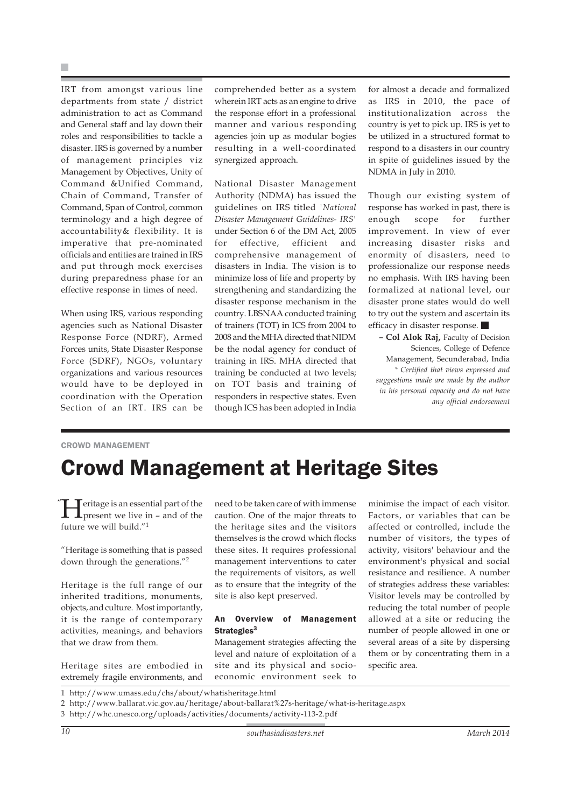IRT from amongst various line departments from state / district administration to act as Command and General staff and lay down their roles and responsibilities to tackle a disaster. IRS is governed by a number of management principles viz Management by Objectives, Unity of Command &Unified Command, Chain of Command, Transfer of Command, Span of Control, common terminology and a high degree of accountability& flexibility. It is imperative that pre-nominated officials and entities are trained in IRS and put through mock exercises during preparedness phase for an effective response in times of need.

When using IRS, various responding agencies such as National Disaster Response Force (NDRF), Armed Forces units, State Disaster Response Force (SDRF), NGOs, voluntary organizations and various resources would have to be deployed in coordination with the Operation Section of an IRT. IRS can be

comprehended better as a system wherein IRT acts as an engine to drive the response effort in a professional manner and various responding agencies join up as modular bogies resulting in a well-coordinated synergized approach.

National Disaster Management Authority (NDMA) has issued the guidelines on IRS titled *'National Disaster Management Guidelines- IRS'* under Section 6 of the DM Act, 2005 for effective, efficient and comprehensive management of disasters in India. The vision is to minimize loss of life and property by strengthening and standardizing the disaster response mechanism in the country. LBSNAA conducted training of trainers (TOT) in ICS from 2004 to 2008 and the MHA directed that NIDM be the nodal agency for conduct of training in IRS. MHA directed that training be conducted at two levels; on TOT basis and training of responders in respective states. Even though ICS has been adopted in India for almost a decade and formalized as IRS in 2010, the pace of institutionalization across the country is yet to pick up. IRS is yet to be utilized in a structured format to respond to a disasters in our country in spite of guidelines issued by the NDMA in July in 2010.

Though our existing system of response has worked in past, there is enough scope for further improvement. In view of ever increasing disaster risks and enormity of disasters, need to professionalize our response needs no emphasis. With IRS having been formalized at national level, our disaster prone states would do well to try out the system and ascertain its efficacy in disaster response.

**– Col Alok Raj,** Faculty of Decision Sciences, College of Defence Management, Secunderabad, India *\* Certified that views expressed and suggestions made are made by the author in his personal capacity and do not have any official endorsement*

#### CROWD MANAGEMENT

# Crowd Management at Heritage Sites

**Heritage is an essential part of the**<br>present we live in – and of the future we will build."<sup>1</sup> "

"Heritage is something that is passed down through the generations."<sup>2</sup>

Heritage is the full range of our inherited traditions, monuments, objects, and culture. Most importantly, it is the range of contemporary activities, meanings, and behaviors that we draw from them.

Heritage sites are embodied in extremely fragile environments, and need to be taken care of with immense caution. One of the major threats to the heritage sites and the visitors themselves is the crowd which flocks these sites. It requires professional management interventions to cater the requirements of visitors, as well as to ensure that the integrity of the site is also kept preserved.

#### An Overview of Management Strategies<sup>3</sup>

Management strategies affecting the level and nature of exploitation of a site and its physical and socioeconomic environment seek to

minimise the impact of each visitor. Factors, or variables that can be affected or controlled, include the number of visitors, the types of activity, visitors' behaviour and the environment's physical and social resistance and resilience. A number of strategies address these variables: Visitor levels may be controlled by reducing the total number of people allowed at a site or reducing the number of people allowed in one or several areas of a site by dispersing them or by concentrating them in a specific area.

<sup>1</sup> http://www.umass.edu/chs/about/whatisheritage.html

<sup>2</sup> http://www.ballarat.vic.gov.au/heritage/about-ballarat%27s-heritage/what-is-heritage.aspx

<sup>3</sup> http://whc.unesco.org/uploads/activities/documents/activity-113-2.pdf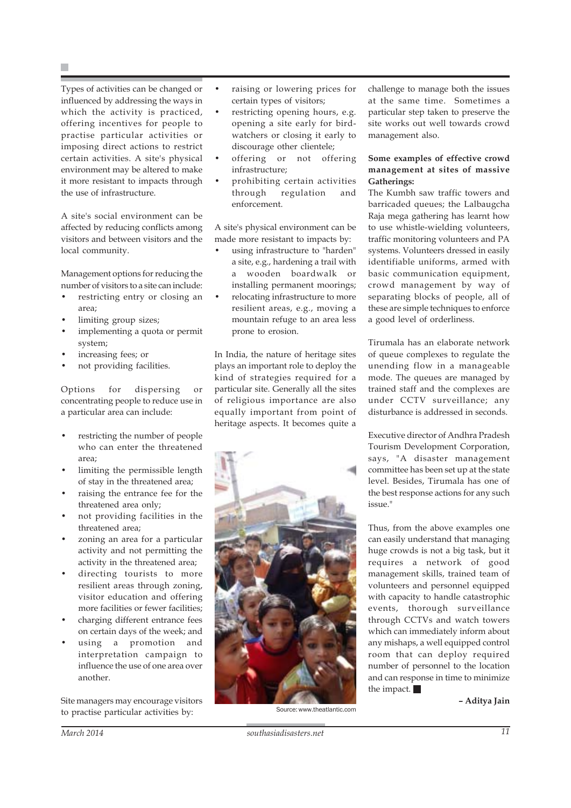Types of activities can be changed or influenced by addressing the ways in which the activity is practiced, offering incentives for people to practise particular activities or imposing direct actions to restrict certain activities. A site's physical environment may be altered to make it more resistant to impacts through the use of infrastructure.

A site's social environment can be affected by reducing conflicts among visitors and between visitors and the local community.

Management options for reducing the number of visitors to a site can include:

- restricting entry or closing an area;
- limiting group sizes;
- implementing a quota or permit system;
- increasing fees; or
- not providing facilities.

Options for dispersing or concentrating people to reduce use in a particular area can include:

- restricting the number of people who can enter the threatened area;
- limiting the permissible length of stay in the threatened area;
- raising the entrance fee for the threatened area only;
- not providing facilities in the threatened area;
- zoning an area for a particular activity and not permitting the activity in the threatened area;
- directing tourists to more resilient areas through zoning, visitor education and offering more facilities or fewer facilities;
- charging different entrance fees on certain days of the week; and
- using a promotion and interpretation campaign to influence the use of one area over another.

Site managers may encourage visitors to practise particular activities by:

- raising or lowering prices for certain types of visitors;
- restricting opening hours, e.g. opening a site early for birdwatchers or closing it early to discourage other clientele;
- offering or not offering infrastructure;
- prohibiting certain activities through regulation and enforcement.

A site's physical environment can be made more resistant to impacts by:

- using infrastructure to "harden" a site, e.g., hardening a trail with a wooden boardwalk or installing permanent moorings;
- relocating infrastructure to more resilient areas, e.g., moving a mountain refuge to an area less prone to erosion.

In India, the nature of heritage sites plays an important role to deploy the kind of strategies required for a particular site. Generally all the sites of religious importance are also equally important from point of heritage aspects. It becomes quite a

![](_page_10_Picture_27.jpeg)

challenge to manage both the issues at the same time. Sometimes a particular step taken to preserve the site works out well towards crowd management also.

#### **Some examples of effective crowd management at sites of massive Gatherings:**

The Kumbh saw traffic towers and barricaded queues; the Lalbaugcha Raja mega gathering has learnt how to use whistle-wielding volunteers, traffic monitoring volunteers and PA systems. Volunteers dressed in easily identifiable uniforms, armed with basic communication equipment, crowd management by way of separating blocks of people, all of these are simple techniques to enforce a good level of orderliness.

Tirumala has an elaborate network of queue complexes to regulate the unending flow in a manageable mode. The queues are managed by trained staff and the complexes are under CCTV surveillance; any disturbance is addressed in seconds.

Executive director of Andhra Pradesh Tourism Development Corporation, says, "A disaster management committee has been set up at the state level. Besides, Tirumala has one of the best response actions for any such issue."

Thus, from the above examples one can easily understand that managing huge crowds is not a big task, but it requires a network of good management skills, trained team of volunteers and personnel equipped with capacity to handle catastrophic events, thorough surveillance through CCTVs and watch towers which can immediately inform about any mishaps, a well equipped control room that can deploy required number of personnel to the location and can response in time to minimize the impact.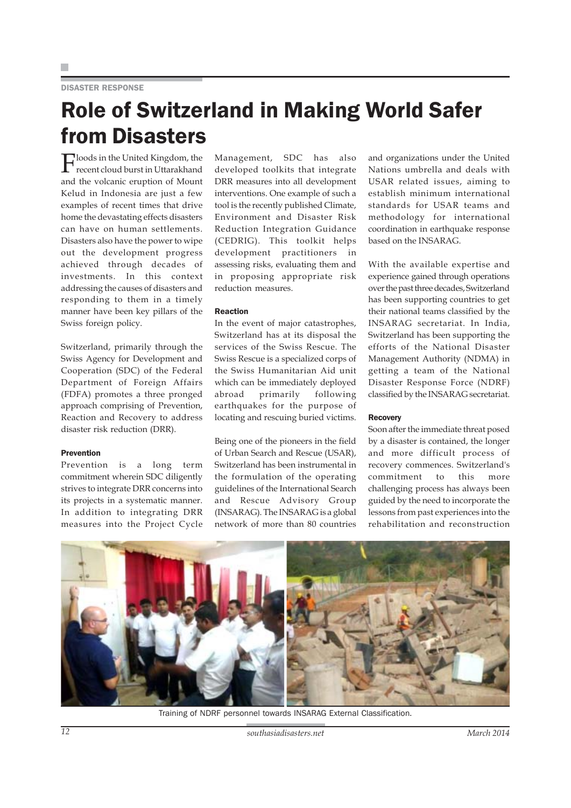#### DISASTER RESPONSE

### Role of Switzerland in Making World Safer from Disasters

Floods in the United Kingdom, the recent cloud burst in Uttarakhand and the volcanic eruption of Mount Kelud in Indonesia are just a few examples of recent times that drive home the devastating effects disasters can have on human settlements. Disasters also have the power to wipe out the development progress achieved through decades of investments. In this context addressing the causes of disasters and responding to them in a timely manner have been key pillars of the Swiss foreign policy.

Switzerland, primarily through the Swiss Agency for Development and Cooperation (SDC) of the Federal Department of Foreign Affairs (FDFA) promotes a three pronged approach comprising of Prevention, Reaction and Recovery to address disaster risk reduction (DRR).

#### Prevention

Prevention is a long term commitment wherein SDC diligently strives to integrate DRR concerns into its projects in a systematic manner. In addition to integrating DRR measures into the Project Cycle

Management, SDC has also developed toolkits that integrate DRR measures into all development interventions. One example of such a tool is the recently published Climate, Environment and Disaster Risk Reduction Integration Guidance (CEDRIG). This toolkit helps development practitioners in assessing risks, evaluating them and in proposing appropriate risk reduction measures.

#### Reaction

In the event of major catastrophes, Switzerland has at its disposal the services of the Swiss Rescue. The Swiss Rescue is a specialized corps of the Swiss Humanitarian Aid unit which can be immediately deployed abroad primarily following earthquakes for the purpose of locating and rescuing buried victims.

Being one of the pioneers in the field of Urban Search and Rescue (USAR), Switzerland has been instrumental in the formulation of the operating guidelines of the International Search and Rescue Advisory Group (INSARAG). The INSARAG is a global network of more than 80 countries

and organizations under the United Nations umbrella and deals with USAR related issues, aiming to establish minimum international standards for USAR teams and methodology for international coordination in earthquake response based on the INSARAG.

With the available expertise and experience gained through operations over the past three decades, Switzerland has been supporting countries to get their national teams classified by the INSARAG secretariat. In India, Switzerland has been supporting the efforts of the National Disaster Management Authority (NDMA) in getting a team of the National Disaster Response Force (NDRF) classified by the INSARAG secretariat.

#### **Recovery**

Soon after the immediate threat posed by a disaster is contained, the longer and more difficult process of recovery commences. Switzerland's commitment to this more challenging process has always been guided by the need to incorporate the lessons from past experiences into the rehabilitation and reconstruction

![](_page_11_Picture_15.jpeg)

Training of NDRF personnel towards INSARAG External Classification.

*12 southasiadisasters.net March 2014*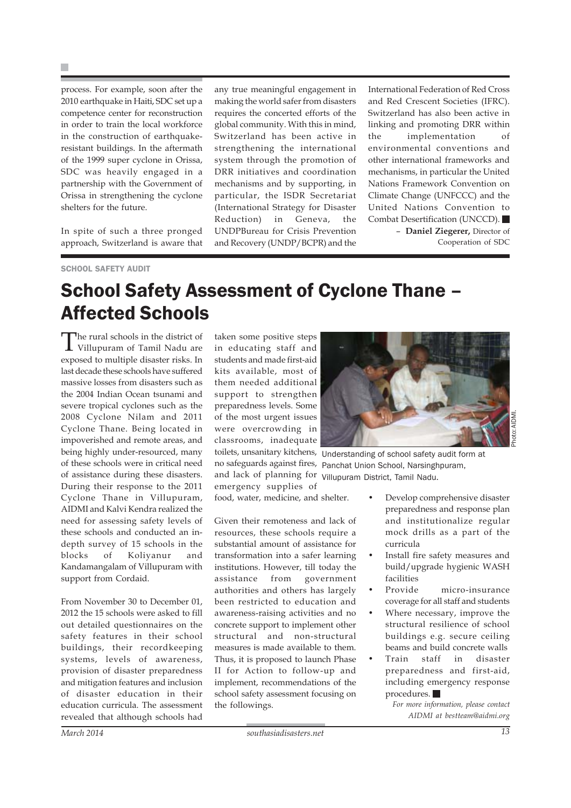process. For example, soon after the 2010 earthquake in Haiti, SDC set up a competence center for reconstruction in order to train the local workforce in the construction of earthquakeresistant buildings. In the aftermath of the 1999 super cyclone in Orissa, SDC was heavily engaged in a partnership with the Government of Orissa in strengthening the cyclone shelters for the future.

In spite of such a three pronged approach, Switzerland is aware that any true meaningful engagement in making the world safer from disasters requires the concerted efforts of the global community. With this in mind, Switzerland has been active in strengthening the international system through the promotion of DRR initiatives and coordination mechanisms and by supporting, in particular, the ISDR Secretariat (International Strategy for Disaster Reduction) in Geneva, the UNDPBureau for Crisis Prevention and Recovery (UNDP/BCPR) and the

International Federation of Red Cross and Red Crescent Societies (IFRC). Switzerland has also been active in linking and promoting DRR within the implementation of environmental conventions and other international frameworks and mechanisms, in particular the United Nations Framework Convention on Climate Change (UNFCCC) and the United Nations Convention to Combat Desertification (UNCCD). – **Daniel Ziegerer,** Director of

Cooperation of SDC

#### SCHOOL SAFETY AUDIT

### School Safety Assessment of Cyclone Thane – Affected Schools

The rural schools in the district of Villupuram of Tamil Nadu are exposed to multiple disaster risks. In last decade these schools have suffered massive losses from disasters such as the 2004 Indian Ocean tsunami and severe tropical cyclones such as the 2008 Cyclone Nilam and 2011 Cyclone Thane. Being located in impoverished and remote areas, and being highly under-resourced, many of these schools were in critical need of assistance during these disasters. During their response to the 2011 Cyclone Thane in Villupuram, AIDMI and Kalvi Kendra realized the need for assessing safety levels of these schools and conducted an indepth survey of 15 schools in the blocks of Koliyanur and Kandamangalam of Villupuram with support from Cordaid.

From November 30 to December 01, 2012 the 15 schools were asked to fill out detailed questionnaires on the safety features in their school buildings, their recordkeeping systems, levels of awareness, provision of disaster preparedness and mitigation features and inclusion of disaster education in their education curricula. The assessment revealed that although schools had

taken some positive steps in educating staff and students and made first-aid kits available, most of them needed additional support to strengthen preparedness levels. Some of the most urgent issues were overcrowding in classrooms, inadequate and lack of planning for emergency supplies of

food, water, medicine, and shelter.

Given their remoteness and lack of resources, these schools require a substantial amount of assistance for transformation into a safer learning institutions. However, till today the assistance from government authorities and others has largely been restricted to education and awareness-raising activities and no concrete support to implement other structural and non-structural measures is made available to them. Thus, it is proposed to launch Phase II for Action to follow-up and implement, recommendations of the school safety assessment focusing on the followings.

![](_page_12_Picture_13.jpeg)

toilets, unsanitary kitchens, Understanding of school safety audit form at no safeguards against fires, Panchat Union School, Narsinghpuram, Villupuram District, Tamil Nadu.

- Develop comprehensive disaster preparedness and response plan and institutionalize regular mock drills as a part of the curricula
- Install fire safety measures and build/upgrade hygienic WASH facilities
- Provide micro-insurance coverage for all staff and students
- Where necessary, improve the structural resilience of school buildings e.g. secure ceiling beams and build concrete walls
- Train staff in disaster preparedness and first-aid, including emergency response procedures.

*For more information, please contact AIDMI at bestteam@aidmi.org*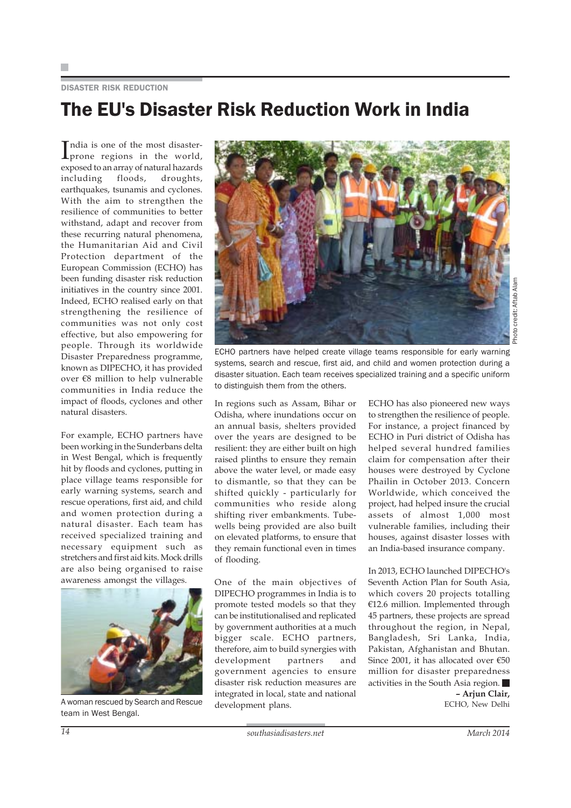#### DISASTER RISK REDUCTION

### The EU's Disaster Risk Reduction Work in India

India is one of the most disaster-<br>Iprone regions in the world, prone regions in the world, exposed to an array of natural hazards including floods, droughts, earthquakes, tsunamis and cyclones. With the aim to strengthen the resilience of communities to better withstand, adapt and recover from these recurring natural phenomena, the Humanitarian Aid and Civil Protection department of the European Commission (ECHO) has been funding disaster risk reduction initiatives in the country since 2001. Indeed, ECHO realised early on that strengthening the resilience of communities was not only cost effective, but also empowering for people. Through its worldwide Disaster Preparedness programme, known as DIPECHO, it has provided over €8 million to help vulnerable communities in India reduce the impact of floods, cyclones and other natural disasters.

For example, ECHO partners have been working in the Sunderbans delta in West Bengal, which is frequently hit by floods and cyclones, putting in place village teams responsible for early warning systems, search and rescue operations, first aid, and child and women protection during a natural disaster. Each team has received specialized training and necessary equipment such as stretchers and first aid kits. Mock drills are also being organised to raise awareness amongst the villages.

![](_page_13_Picture_5.jpeg)

team in West Bengal.

![](_page_13_Picture_7.jpeg)

ECHO partners have helped create village teams responsible for early warning systems, search and rescue, first aid, and child and women protection during a disaster situation. Each team receives specialized training and a specific uniform to distinguish them from the others.

In regions such as Assam, Bihar or Odisha, where inundations occur on an annual basis, shelters provided over the years are designed to be resilient: they are either built on high raised plinths to ensure they remain above the water level, or made easy to dismantle, so that they can be shifted quickly - particularly for communities who reside along shifting river embankments. Tubewells being provided are also built on elevated platforms, to ensure that they remain functional even in times of flooding.

One of the main objectives of DIPECHO programmes in India is to promote tested models so that they can be institutionalised and replicated by government authorities at a much bigger scale. ECHO partners, therefore, aim to build synergies with development partners and government agencies to ensure disaster risk reduction measures are integrated in local, state and national development plans. A woman rescued by Search and Rescue development plans.

ECHO has also pioneered new ways to strengthen the resilience of people. For instance, a project financed by ECHO in Puri district of Odisha has helped several hundred families claim for compensation after their houses were destroyed by Cyclone Phailin in October 2013. Concern Worldwide, which conceived the project, had helped insure the crucial assets of almost 1,000 most vulnerable families, including their houses, against disaster losses with an India-based insurance company.

In 2013, ECHO launched DIPECHO's Seventh Action Plan for South Asia, which covers 20 projects totalling €12.6 million. Implemented through 45 partners, these projects are spread throughout the region, in Nepal, Bangladesh, Sri Lanka, India, Pakistan, Afghanistan and Bhutan. Since 2001, it has allocated over €50 million for disaster preparedness activities in the South Asia region. **– Arjun Clair,**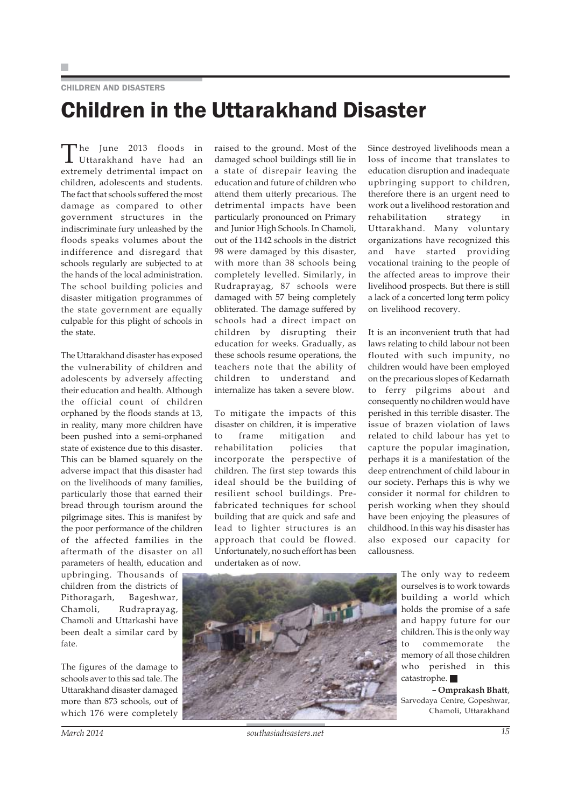# Children in the Uttarakhand Disaster

The June 2013 floods in Uttarakhand have had an extremely detrimental impact on children, adolescents and students. The fact that schools suffered the most damage as compared to other government structures in the indiscriminate fury unleashed by the floods speaks volumes about the indifference and disregard that schools regularly are subjected to at the hands of the local administration. The school building policies and disaster mitigation programmes of the state government are equally culpable for this plight of schools in the state.

CHILDREN AND DISASTERS

The Uttarakhand disaster has exposed the vulnerability of children and adolescents by adversely affecting their education and health. Although the official count of children orphaned by the floods stands at 13, in reality, many more children have been pushed into a semi-orphaned state of existence due to this disaster. This can be blamed squarely on the adverse impact that this disaster had on the livelihoods of many families, particularly those that earned their bread through tourism around the pilgrimage sites. This is manifest by the poor performance of the children of the affected families in the aftermath of the disaster on all parameters of health, education and

upbringing. Thousands of children from the districts of Pithoragarh, Bageshwar, Chamoli, Rudraprayag, Chamoli and Uttarkashi have been dealt a similar card by fate.

The figures of the damage to schools aver to this sad tale. The Uttarakhand disaster damaged more than 873 schools, out of which 176 were completely raised to the ground. Most of the damaged school buildings still lie in a state of disrepair leaving the education and future of children who attend them utterly precarious. The detrimental impacts have been particularly pronounced on Primary and Junior High Schools. In Chamoli, out of the 1142 schools in the district 98 were damaged by this disaster, with more than 38 schools being completely levelled. Similarly, in Rudraprayag, 87 schools were damaged with 57 being completely obliterated. The damage suffered by schools had a direct impact on children by disrupting their education for weeks. Gradually, as these schools resume operations, the teachers note that the ability of children to understand and internalize has taken a severe blow.

To mitigate the impacts of this disaster on children, it is imperative to frame mitigation and rehabilitation policies that incorporate the perspective of children. The first step towards this ideal should be the building of resilient school buildings. Prefabricated techniques for school building that are quick and safe and lead to lighter structures is an approach that could be flowed. Unfortunately, no such effort has been undertaken as of now.

Since destroyed livelihoods mean a loss of income that translates to education disruption and inadequate upbringing support to children, therefore there is an urgent need to work out a livelihood restoration and rehabilitation strategy in Uttarakhand. Many voluntary organizations have recognized this and have started providing vocational training to the people of the affected areas to improve their livelihood prospects. But there is still a lack of a concerted long term policy on livelihood recovery.

It is an inconvenient truth that had laws relating to child labour not been flouted with such impunity, no children would have been employed on the precarious slopes of Kedarnath to ferry pilgrims about and consequently no children would have perished in this terrible disaster. The issue of brazen violation of laws related to child labour has yet to capture the popular imagination, perhaps it is a manifestation of the deep entrenchment of child labour in our society. Perhaps this is why we consider it normal for children to perish working when they should have been enjoying the pleasures of childhood. In this way his disaster has also exposed our capacity for callousness.

The only way to redeem ourselves is to work towards building a world which holds the promise of a safe and happy future for our children. This is the only way to commemorate the memory of all those children who perished in this catastrophe.

**– Omprakash Bhatt**, Sarvodaya Centre, Gopeshwar, Chamoli, Uttarakhand

![](_page_14_Picture_15.jpeg)